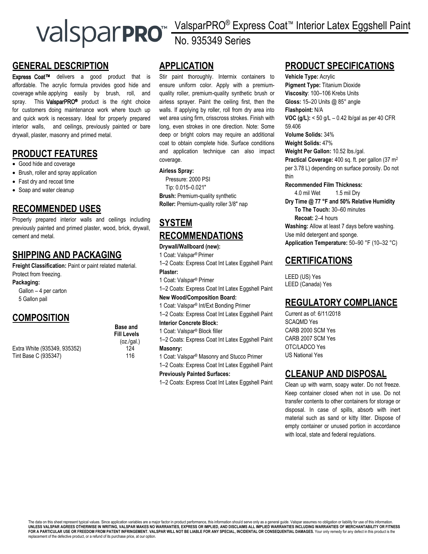# ValsparPRO® Express Coat™ Interior Latex Eggshell Paint No. 935349 Series

#### **GENERAL DESCRIPTION**

Express Coat™ delivers a good product that is affordable. The acrylic formula provides good hide and coverage while applying easily by brush, roll, and spray. This **ValsparPRO<sup>®</sup>** product is the right choice for customers doing maintenance work where touch up and quick work is necessary. Ideal for properly prepared interior walls, and ceilings, previously painted or bare drywall, plaster, masonry and primed metal.

## **PRODUCT FEATURES**

- Good hide and coverage
- Brush, roller and spray application
- Fast dry and recoat time
- Soap and water cleanup

#### **RECOMMENDED USES**

Properly prepared interior walls and ceilings including previously painted and primed plaster, wood, brick, drywall, cement and metal.

## **SHIPPING AND PACKAGING**

**Freight Classification:** Paint or paint related material. Protect from freezing.

Tint Base C (935347) 116

**Packaging:** 

Gallon – 4 per carton 5 Gallon pail

## **COMPOSITION**

Extra White (935349, 935352) 124

## **APPLICATION**

Stir paint thoroughly. Intermix containers to ensure uniform color. Apply with a premiumquality roller, premium-quality synthetic brush or airless sprayer. Paint the ceiling first, then the walls. If applying by roller, roll from dry area into wet area using firm, crisscross strokes. Finish with long, even strokes in one direction. Note: Some deep or bright colors may require an additional coat to obtain complete hide. Surface conditions and application technique can also impact coverage.

#### **Airless Spray:**

Pressure: 2000 PSI Tip: 0.015–0.021″ **Brush:** Premium-quality synthetic **Roller:** Premium-quality roller 3/8″ nap

## **SYSTEM RECOMMENDATIONS**

#### **Drywall/Wallboard (new):**

1 Coat: Valspar® Primer

1–2 Coats: Express Coat Int Latex Eggshell Paint **Plaster:**

1 Coat: Valspar® Primer

1–2 Coats: Express Coat Int Latex Eggshell Paint

#### **New Wood/Composition Board:**

1 Coat: Valspar® Int/Ext Bonding Primer

1–2 Coats: Express Coat Int Latex Eggshell Paint

**Interior Concrete Block:**

- 1 Coat: Valspar® Block filler
- 1–2 Coats: Express Coat Int Latex Eggshell Paint **Masonry:**
- 1 Coat: Valspar® Masonry and Stucco Primer
- 1–2 Coats: Express Coat Int Latex Eggshell Paint **Previously Painted Surfaces:**

1–2 Coats: Express Coat Int Latex Eggshell Paint

## **PRODUCT SPECIFICATIONS**

**Vehicle Type:** Acrylic **Pigment Type:** Titanium Dioxide **Viscosity**: 100–106 Krebs Units **Gloss:** 15–20 Units @ 85° angle **Flashpoint:** N/A **VOC (g/L):** < 50 g/L – 0.42 lb/gal as per 40 CFR 59.406 **Volume Solids:** 34% **Weight Solids:** 47% **Weight Per Gallon:** 10.52 lbs./gal. **Practical Coverage:** 400 sq. ft. per gallon (37 m<sup>2</sup> per 3.78 L) depending on surface porosity. Do not thin **Recommended Film Thickness:** 4.0 mil Wet 1.5 mil Dry

**Dry Time @ 77 °F and 50% Relative Humidity To The Touch:** 30–60 minutes **Recoat:** 2–4 hours **Washing:** Allow at least 7 days before washing. Use mild detergent and sponge. **Application Temperature:** 50–90 °F (10–32 °C)

#### **CERTIFICATIONS**

LEED (US) Yes LEED (Canada) Yes

#### **REGULATORY COMPLIANCE**

Current as of: 6/11/2018 SCAQMD Yes CARB 2000 SCM Yes CARB 2007 SCM Yes OTC/LADCO Yes US National Yes

## **CLEANUP AND DISPOSAL**

Clean up with warm, soapy water. Do not freeze. Keep container closed when not in use. Do not transfer contents to other containers for storage or disposal. In case of spills, absorb with inert material such as sand or kitty litter. Dispose of empty container or unused portion in accordance with local, state and federal regulations.

**Base and Fill Levels**  (oz./gal.)